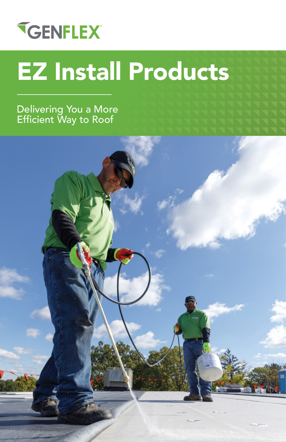# **TGENFLEX**

# EZ Install Products

Delivering You a More Efficient Way to Roof

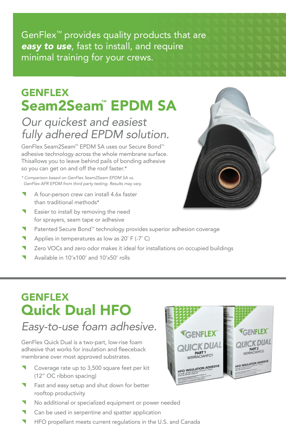GenFlex™ provides quality products that are *easy to use*, fast to install, and require minimal training for your crews.

### GENFLEX Seam2Seam™ EPDM SA

#### *Our quickest and easiest fully adhered EPDM solution.*

GenFlex Seam2Seam™ EPDM SA uses our Secure Bond™ adhesive technology across the whole membrane surface. Thisallows you to leave behind pails of bonding adhesive so you can get on and off the roof faster.\*

*\* Comparison based on GenFlex Seam2Seam EPDM SA vs. GenFlex AFR EPDM from third party testing. Results may vary.*

- A four-person crew can install 4.6x faster than traditional methods\*
- Easier to install by removing the need for sprayers, seam tape or adhesive
- Patented Secure Bond™ technology provides superior adhesion coverage
- Applies in temperatures as low as 20° F (-7° C)
- Zero VOCs and zero odor makes it ideal for installations on occupied buildings
- Available in 10'x100' and 10'x50' rolls

## **GENFLEX** Quick Dual HFO

#### *Easy-to-use foam adhesive.*

GenFlex Quick Dual is a two-part, low-rise foam adhesive that works for insulation and fleeceback membrane over most approved substrates.

- Coverage rate up to 3,500 square feet per kit (12" OC ribbon spacing)
- Fast and easy setup and shut down for better rooftop productivity
- No additional or specialized equipment or power needed
- Can be used in serpentine and spatter application
- ^ HFO propellant meets current regulations in the U.S. and Canada



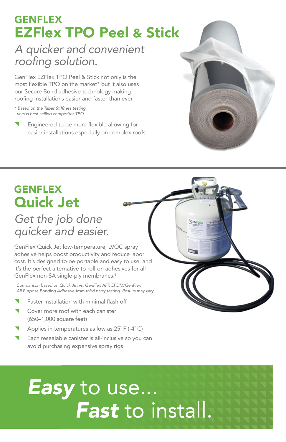#### **GENFLEX** EZFlex TPO Peel & Stick

#### *A quicker and convenient*  roofing solution.

GenFlex EZFlex TPO Peel & Stick not only is the most flexible TPO on the market\* but it also uses our Secure Bond adhesive technology making roofing installations easier and faster than ever.

*\* Based on the Taber Stiffness testing versus best-selling competitor TPO.*

Engineered to be more flexible allowing for easier installations especially on complex roofs



## **GENFLEX** Quick Jet

#### *Get the job done quicker and easier.*

GenFlex Quick Jet low-temperature, LVOC spray adhesive helps boost productivity and reduce labor cost. It's designed to be portable and easy to use, and it's the perfect alternative to roll-on adhesives for all GenFlex non-SA single-ply membranes.‡

*‡ Comparison based on Quick Jet vs. GenFlex AFR EPDM/GenFlex All Purpose Bonding Adhesive from third party testing. Results may vary.*

- Faster installation with minimal flash off
- Cover more roof with each canister (650–1,000 square feet)
- Applies in temperatures as low as 25° F (-4° C)
- Each resealable canister is all-inclusive so you can avoid purchasing expensive spray rigs

# *Easy* to use... *Fast* to install.